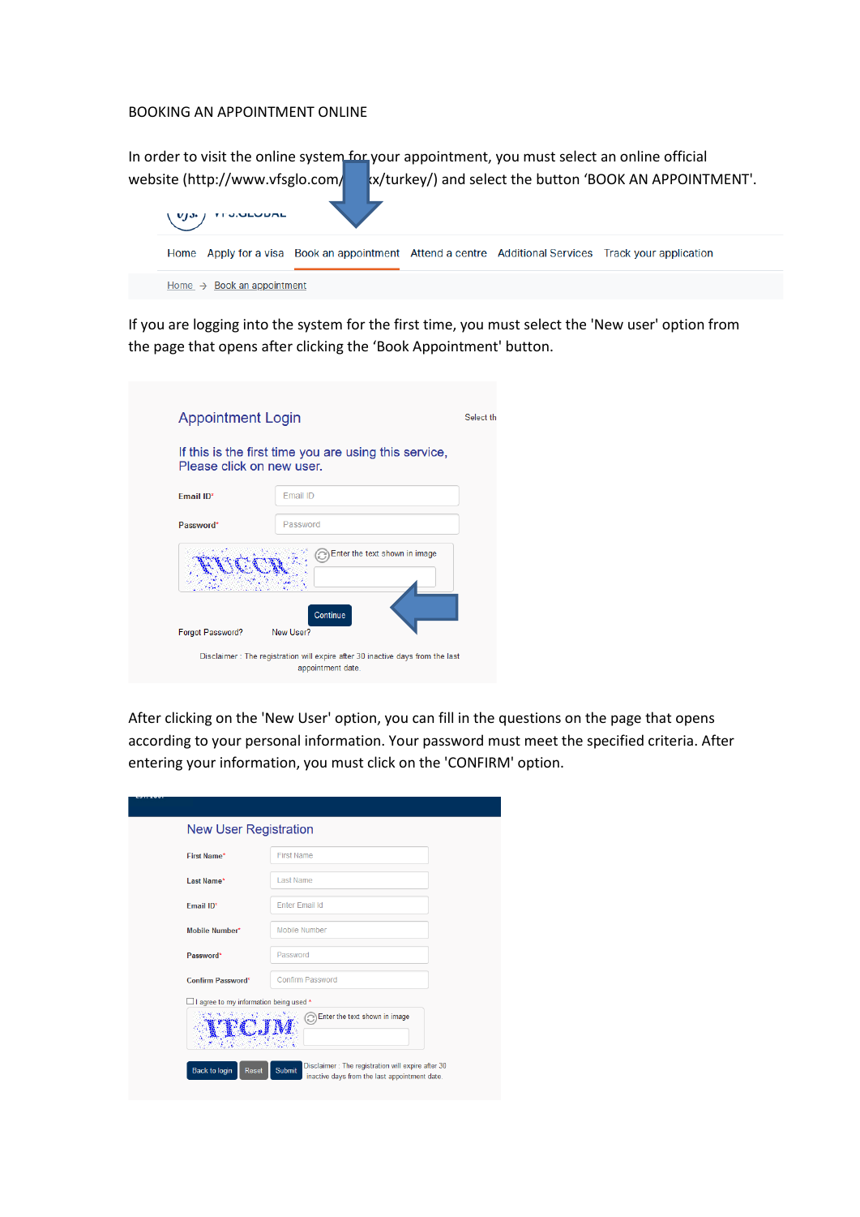## BOOKING AN APPOINTMENT ONLINE

|                                 | In order to visit the online system for your appointment, you must select an online official         |  |                                                         |  |  |  |
|---------------------------------|------------------------------------------------------------------------------------------------------|--|---------------------------------------------------------|--|--|--|
| website (http://www.vfsglo.com/ |                                                                                                      |  | x/turkey/) and select the button 'BOOK AN APPOINTMENT'. |  |  |  |
|                                 |                                                                                                      |  |                                                         |  |  |  |
|                                 | Home Apply for a visa Book an appointment Attend a centre Additional Services Track your application |  |                                                         |  |  |  |
|                                 | Home $\rightarrow$ Book an appointment                                                               |  |                                                         |  |  |  |
|                                 |                                                                                                      |  |                                                         |  |  |  |

If you are logging into the system for the first time, you must select the 'New user' option from the page that opens after clicking the 'Book Appointment' button.

| Please click on new user. | If this is the first time you are using this service, |
|---------------------------|-------------------------------------------------------|
| Email ID*                 | Email ID                                              |
| Password*                 | Password                                              |
|                           | Enter the text shown in image<br>Continue             |

After clicking on the 'New User' option, you can fill in the questions on the page that opens according to your personal information. Your password must meet the specified criteria. After entering your information, you must click on the 'CONFIRM' option.

| <b>New User Registration</b>             |                                                                                                              |
|------------------------------------------|--------------------------------------------------------------------------------------------------------------|
| <b>First Name*</b>                       | <b>First Name</b>                                                                                            |
| Last Name*                               | Last Name                                                                                                    |
| <b>Email ID*</b>                         | <b>Enter Email Id</b>                                                                                        |
| Mobile Number*                           | Mobile Number                                                                                                |
| Password*                                | Password                                                                                                     |
| <b>Confirm Password*</b>                 | <b>Confirm Password</b>                                                                                      |
| □ I agree to my information being used * |                                                                                                              |
|                                          | Enter the text shown in image                                                                                |
| <b>Back to login</b><br>Reset            | Disclaimer: The registration will expire after 30<br>Submit<br>inactive days from the last appointment date. |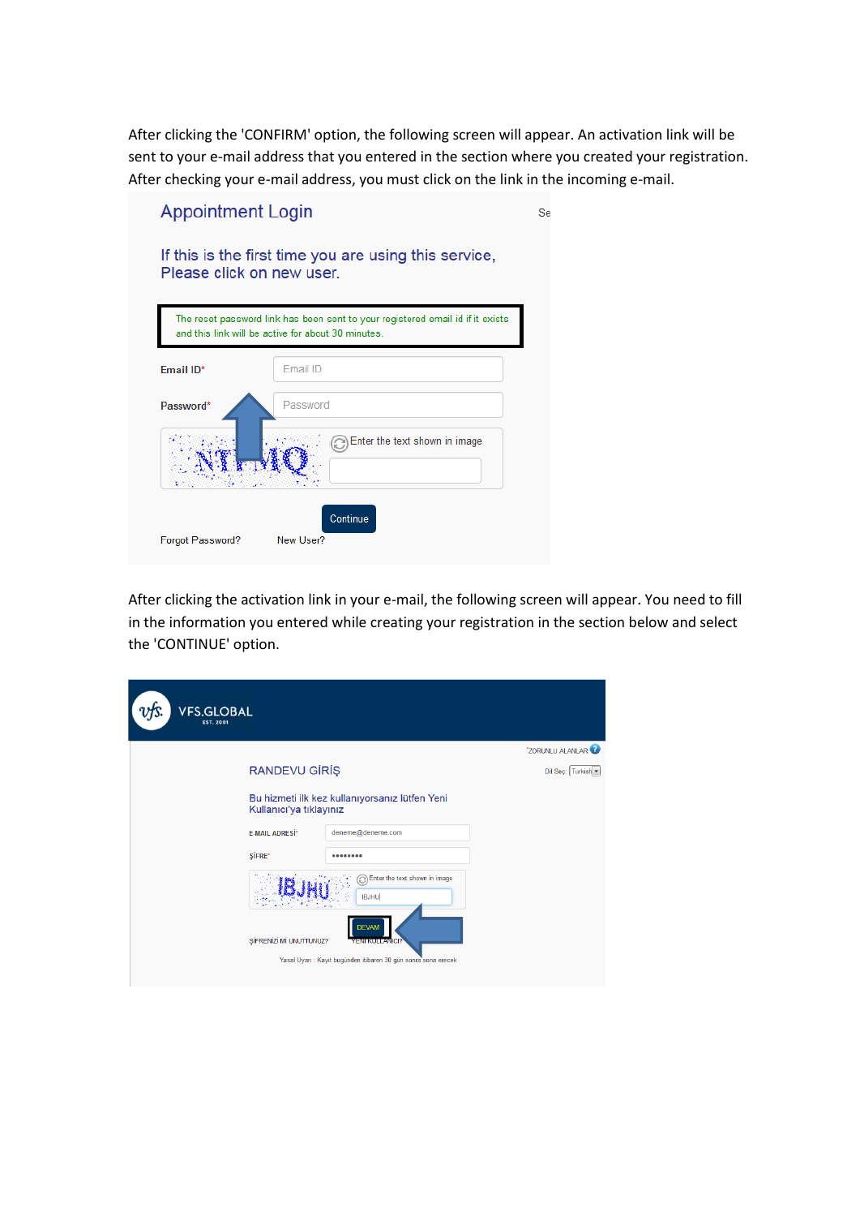After clicking the 'CONFIRM' option, the following screen will appear. An activation link will be sent to your e-mail address that you entered in the section where you created your registration. After checking your e-mail address, you must click on the link in the incoming e-mail.

| <b>Appointment Login</b>  |                                                                                                                                      | <b>Se</b> |
|---------------------------|--------------------------------------------------------------------------------------------------------------------------------------|-----------|
| Please click on new user. | If this is the first time you are using this service,                                                                                |           |
|                           | The reset password link has been sent to your registered email id if it exists<br>and this link will be active for about 30 minutes. |           |
| Email ID*                 | Fmail ID                                                                                                                             |           |
| Password*                 | Password                                                                                                                             |           |
|                           | Enter the text shown in image                                                                                                        |           |
| Forgot Password?          | Continue<br>New User?                                                                                                                |           |

After clicking the activation link in your e-mail, the following screen will appear. You need to fill in the information you entered while creating your registration in the section below and select the 'CONTINUE' option.

| <b>VFS.GLOBAL</b><br><b>EST. 2001</b> |                                                                                  |                               |
|---------------------------------------|----------------------------------------------------------------------------------|-------------------------------|
|                                       |                                                                                  | *ZORUNLU ALANLAR <sup>2</sup> |
| <b>RANDEVU GÍRÍŞ</b>                  |                                                                                  | Dil Sec: Turkish              |
| Kullanıcı'ya tıklayınız               | Bu hizmeti ilk kez kullanıyorsanız lütfen Yeni                                   |                               |
| <b>E-MAIL ADRESİ*</b>                 | deneme@deneme.com                                                                |                               |
| <b>ŞİFRE*</b>                         |                                                                                  |                               |
| ŞİFRENİZİ Mİ UNUTTUNUZ?               | Enter the text shown in image<br><b>IBJHU</b><br><b>DEVAM</b><br>YENI KULLANICI? |                               |
|                                       | Yasal Uyan : Kayıt bugünden itibaren 30 gün sonra sona erecek                    |                               |
|                                       |                                                                                  |                               |